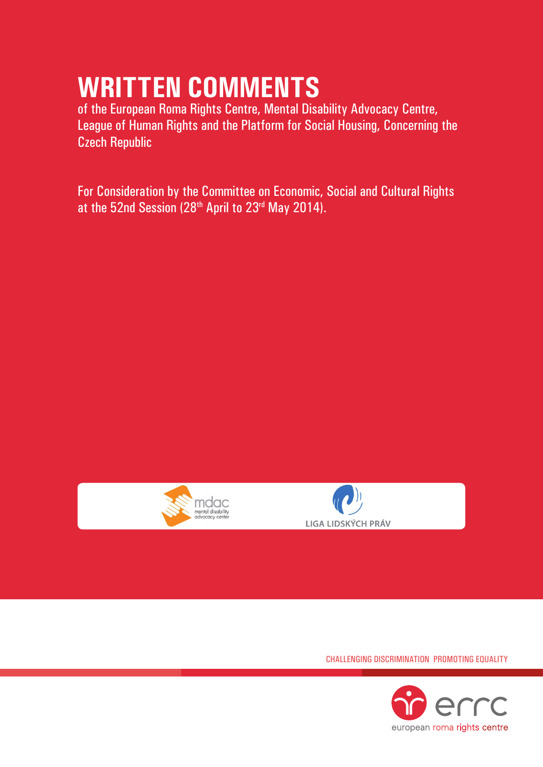# **Written Comments**

of the European Roma Rights Centre, Mental Disability Advocacy Centre, League of Human Rights and the Platform for Social Housing, Concerning the Czech Republic

For Consideration by the Committee on Economic, Social and Cultural Rights at the 52nd Session (28th April to 23rd May 2014).





Challenging Discrimination Promoting Equality

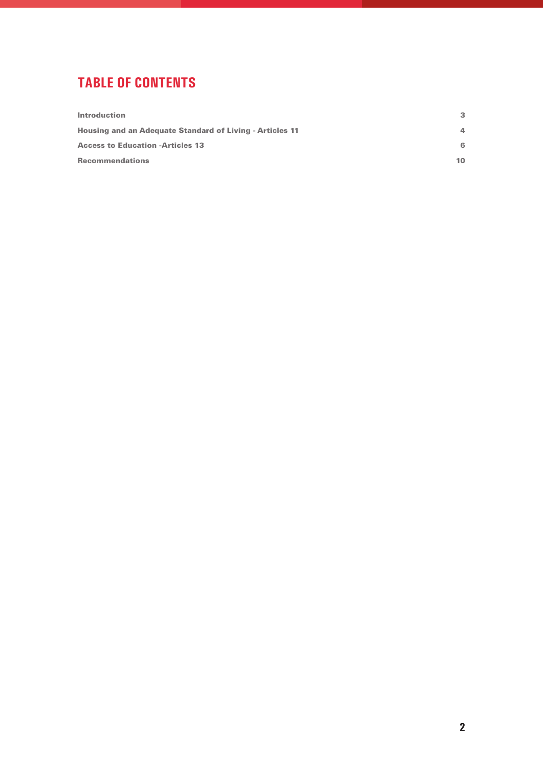# **tablE of contents**

| <b>Introduction</b>                                             | 3        |
|-----------------------------------------------------------------|----------|
| <b>Housing and an Adequate Standard of Living - Articles 11</b> | $\Delta$ |
| <b>Access to Education -Articles 13</b>                         | 6        |
| <b>Recommendations</b>                                          | 10       |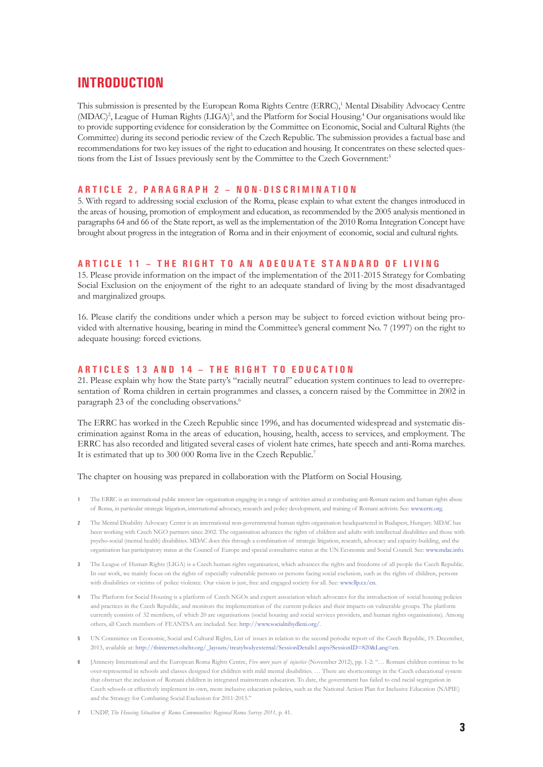### **Introduction**

This submission is presented by the European Roma Rights Centre (ERRC),<sup>1</sup> Mental Disability Advocacy Centre (MDAC)<sup>2</sup>, League of Human Rights (LIGA)<sup>3</sup>, and the Platform for Social Housing.<sup>4</sup> Our organisations would like to provide supporting evidence for consideration by the Committee on Economic, Social and Cultural Rights (the Committee) during its second periodic review of the Czech Republic. The submission provides a factual base and recommendations for two key issues of the right to education and housing. It concentrates on these selected questions from the List of Issues previously sent by the Committee to the Czech Government:<sup>5</sup>

#### **A r t i c l e 2 , p a r a g r a p h 2 – N o n - d i s c r i m i n a t i o n**

5. With regard to addressing social exclusion of the Roma, please explain to what extent the changes introduced in the areas of housing, promotion of employment and education, as recommended by the 2005 analysis mentioned in paragraphs 64 and 66 of the State report, as well as the implementation of the 2010 Roma Integration Concept have brought about progress in the integration of Roma and in their enjoyment of economic, social and cultural rights.

#### **ARTICLE 11 - THE RIGHT TO AN ADEQUATE STANDARD OF LIVING**

15. Please provide information on the impact of the implementation of the 2011-2015 Strategy for Combating Social Exclusion on the enjoyment of the right to an adequate standard of living by the most disadvantaged and marginalized groups.

16. Please clarify the conditions under which a person may be subject to forced eviction without being provided with alternative housing, bearing in mind the Committee's general comment No. 7 (1997) on the right to adequate housing: forced evictions.

#### **A r t i c l e s 1 3 a n d 1 4 – T h e r i g h t t o e d u c a t i o n**

21. Please explain why how the State party's "racially neutral" education system continues to lead to overrepresentation of Roma children in certain programmes and classes, a concern raised by the Committee in 2002 in paragraph 23 of the concluding observations.<sup>6</sup>

The ERRC has worked in the Czech Republic since 1996, and has documented widespread and systematic discrimination against Roma in the areas of education, housing, health, access to services, and employment. The ERRC has also recorded and litigated several cases of violent hate crimes, hate speech and anti-Roma marches. It is estimated that up to 300 000 Roma live in the Czech Republic.7

The chapter on housing was prepared in collaboration with the Platform on Social Housing.

- **1** The ERRC is an international public interest law organisation engaging in a range of activities aimed at combating anti-Romani racism and human rights abuse of Roma, in particular strategic litigation, international advocacy, research and policy development, and training of Romani activists. See: www.errc.org.
- **2** The Mental Disability Advocacy Center is an international non-governmental human rights organisation headquartered in Budapest, Hungary. MDAC has been working with Czech NGO partners since 2002. The organisation advances the rights of children and adults with intellectual disabilities and those with psycho-social (mental health) disabilities. MDAC does this through a combination of strategic litigation, research, advocacy and capacity-building, and the organisation has participatory status at the Council of Europe and special consultative status at the UN Economic and Social Council. See: www.mdac.info.
- **3** The League of Human Rights (LIGA) is a Czech human rights organisation, which advances the rights and freedoms of all people the Czech Republic. In our work, we mainly focus on the rights of especially vulnerable persons or persons facing social exclusion, such as the rights of children, persons with disabilities or victims of police violence. Our vision is just, free and engaged society for all. See: www.llp.cz/en.
- **4** The Platform for Social Housing is a platform of Czech NGOs and expert association which advocates for the introduction of social housing policies and practices in the Czech Republic, and monitors the implementation of the current policies and their impacts on vulnerable groups. The platform currently consists of 32 members, of which 20 are organisations (social housing and social services providers, and human rights organisations). Among others, all Czech members of FEANTSA are included. See: http://www.socialnibydleni.org/.
- **5** UN Committee on Economic, Social and Cultural Rights, List of issues in relation to the second periodic report of the Czech Republic, 19. December, 2013, available at: http://tbinternet.ohchr.org/\_layouts/treatybodyexternal/SessionDetails1.aspx?SessionID=820&Lang=en.
- **6** [Amnesty International and the European Roma Rights Centre, *Five more years of injustice* (November 2012), pp. 1-2: "… Romani children continue to be over-represented in schools and classes designed for children with mild mental disabilities. … There are shortcomings in the Czech educational system that obstruct the inclusion of Romani children in integrated mainstream education. To date, the government has failed to end racial segregation in Czech schools or effectively implement its own, more inclusive education policies, such as the National Action Plan for Inclusive Education (NAPIE) and the Strategy for Combating Social Exclusion for 2011-2015."
- **7** UNDP, *The Housing Situation of Roma Communities: Regional Roma Survey 2011,* p. 41.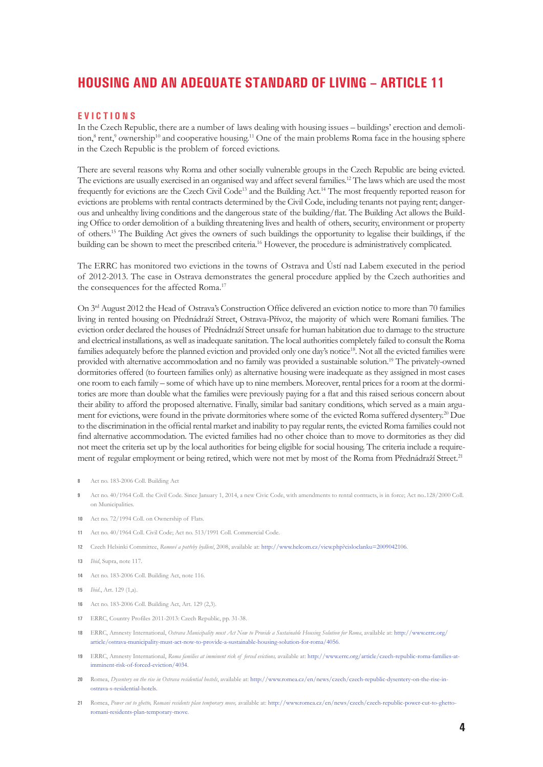# **Housing and an adequate standard of living – Article 11**

#### **E v i c t i o n s**

In the Czech Republic, there are a number of laws dealing with housing issues – buildings' erection and demolition,<sup>8</sup> rent,<sup>9</sup> ownership<sup>10</sup> and cooperative housing.<sup>11</sup> One of the main problems Roma face in the housing sphere in the Czech Republic is the problem of forced evictions.

There are several reasons why Roma and other socially vulnerable groups in the Czech Republic are being evicted. The evictions are usually exercised in an organised way and affect several families.<sup>12</sup> The laws which are used the most frequently for evictions are the Czech Civil Code<sup>13</sup> and the Building Act.<sup>14</sup> The most frequently reported reason for evictions are problems with rental contracts determined by the Civil Code, including tenants not paying rent; dangerous and unhealthy living conditions and the dangerous state of the building/flat. The Building Act allows the Building Office to order demolition of a building threatening lives and health of others, security, environment or property of others.15 The Building Act gives the owners of such buildings the opportunity to legalise their buildings, if the building can be shown to meet the prescribed criteria.<sup>16</sup> However, the procedure is administratively complicated.

The ERRC has monitored two evictions in the towns of Ostrava and Ústí nad Labem executed in the period of 2012-2013. The case in Ostrava demonstrates the general procedure applied by the Czech authorities and the consequences for the affected Roma.<sup>17</sup>

On 3rd August 2012 the Head of Ostrava's Construction Office delivered an eviction notice to more than 70 families living in rented housing on Přednádraží Street, Ostrava-Přívoz, the majority of which were Romani families. The eviction order declared the houses of Přednádraží Street unsafe for human habitation due to damage to the structure and electrical installations, as well as inadequate sanitation. The local authorities completely failed to consult the Roma families adequately before the planned eviction and provided only one day's notice<sup>18</sup>. Not all the evicted families were provided with alternative accommodation and no family was provided a sustainable solution.19 The privately-owned dormitories offered (to fourteen families only) as alternative housing were inadequate as they assigned in most cases one room to each family – some of which have up to nine members. Moreover, rental prices for a room at the dormitories are more than double what the families were previously paying for a flat and this raised serious concern about their ability to afford the proposed alternative. Finally, similar bad sanitary conditions, which served as a main argument for evictions, were found in the private dormitories where some of the evicted Roma suffered dysentery.<sup>20</sup> Due to the discrimination in the official rental market and inability to pay regular rents, the evicted Roma families could not find alternative accommodation. The evicted families had no other choice than to move to dormitories as they did not meet the criteria set up by the local authorities for being eligible for social housing. The criteria include a requirement of regular employment or being retired, which were not met by most of the Roma from Přednádraží Street.<sup>21</sup>

- **9** Act no. 40/1964 Coll. the Civil Code. Since January 1, 2014, a new Civic Code, with amendments to rental contracts, is in force; Act no..128/2000 Coll. on Municipalities.
- **10** Act no. 72/1994 Coll. on Ownership of Flats.
- **11** Act no. 40/1964 Coll. Civil Code; Act no. 513/1991 Coll. Commercial Code.
- **12** Czech Helsinki Committee, *Romové a potřeby bydlení*, 2008, available at: http://www.helcom.cz/view.php?cisloclanku=2009042106.
- **13** *Ibid*, Supra, note 117.
- **14** Act no. 183-2006 Coll. Building Act, note 116.
- **15** *Ibid*., Art. 129 (1,a).
- **16** Act no. 183-2006 Coll. Building Act, Art. 129 (2,3).
- **17** ERRC, Country Profiles 2011-2013: Czech Republic, pp. 31-38.
- **18** ERRC, Amnesty International, *Ostrava Municipality must Act Now to Provide a Sustainable Housing Solution for Roma*, available at: http://www.errc.org/ article/ostrava-municipality-must-act-now-to-provide-a-sustainable-housing-solution-for-roma/4056.
- **19** ERRC, Amnesty International, *Roma families at imminent risk of forced evictions,* available at: http://www.errc.org/article/czech-republic-roma-families-atimminent-risk-of-forced-eviction/4034.
- **20** Romea, *Dysentery on the rise in Ostrava residential hostels*, available at: http://www.romea.cz/en/news/czech/czech-republic-dysentery-on-the-rise-inostrava-s-residential-hotels.
- **21** Romea, *Power cut to ghetto, Romani residents plan temporary move,* available at: http://www.romea.cz/en/news/czech/czech-republic-power-cut-to-ghettoromani-residents-plan-temporary-move.

**<sup>8</sup>** Act no. 183-2006 Coll. Building Act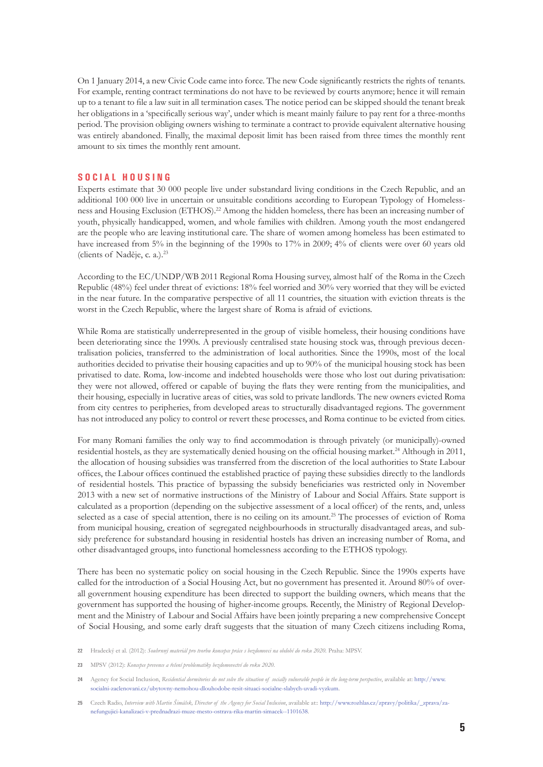On 1 January 2014, a new Civic Code came into force. The new Code significantly restricts the rights of tenants. For example, renting contract terminations do not have to be reviewed by courts anymore; hence it will remain up to a tenant to file a law suit in all termination cases. The notice period can be skipped should the tenant break her obligations in a 'specifically serious way', under which is meant mainly failure to pay rent for a three-months period. The provision obliging owners wishing to terminate a contract to provide equivalent alternative housing was entirely abandoned. Finally, the maximal deposit limit has been raised from three times the monthly rent amount to six times the monthly rent amount.

#### **S o c i a l h o u s i n g**

Experts estimate that 30 000 people live under substandard living conditions in the Czech Republic, and an additional 100 000 live in uncertain or unsuitable conditions according to European Typology of Homelessness and Housing Exclusion (ETHOS).<sup>22</sup> Among the hidden homeless, there has been an increasing number of youth, physically handicapped, women, and whole families with children. Among youth the most endangered are the people who are leaving institutional care. The share of women among homeless has been estimated to have increased from 5% in the beginning of the 1990s to 17% in 2009; 4% of clients were over 60 years old (clients of Naděje, c. a.).23

According to the EC/UNDP/WB 2011 Regional Roma Housing survey, almost half of the Roma in the Czech Republic (48%) feel under threat of evictions: 18% feel worried and 30% very worried that they will be evicted in the near future. In the comparative perspective of all 11 countries, the situation with eviction threats is the worst in the Czech Republic, where the largest share of Roma is afraid of evictions.

While Roma are statistically underrepresented in the group of visible homeless, their housing conditions have been deteriorating since the 1990s. A previously centralised state housing stock was, through previous decentralisation policies, transferred to the administration of local authorities. Since the 1990s, most of the local authorities decided to privatise their housing capacities and up to 90% of the municipal housing stock has been privatised to date. Roma, low-income and indebted households were those who lost out during privatisation: they were not allowed, offered or capable of buying the flats they were renting from the municipalities, and their housing, especially in lucrative areas of cities, was sold to private landlords. The new owners evicted Roma from city centres to peripheries, from developed areas to structurally disadvantaged regions. The government has not introduced any policy to control or revert these processes, and Roma continue to be evicted from cities.

For many Romani families the only way to find accommodation is through privately (or municipally)-owned residential hostels, as they are systematically denied housing on the official housing market.<sup>24</sup> Although in 2011, the allocation of housing subsidies was transferred from the discretion of the local authorities to State Labour offices, the Labour offices continued the established practice of paying these subsidies directly to the landlords of residential hostels. This practice of bypassing the subsidy beneficiaries was restricted only in November 2013 with a new set of normative instructions of the Ministry of Labour and Social Affairs. State support is calculated as a proportion (depending on the subjective assessment of a local officer) of the rents, and, unless selected as a case of special attention, there is no ceiling on its amount.<sup>25</sup> The processes of eviction of Roma from municipal housing, creation of segregated neighbourhoods in structurally disadvantaged areas, and subsidy preference for substandard housing in residential hostels has driven an increasing number of Roma, and other disadvantaged groups, into functional homelessness according to the ETHOS typology.

There has been no systematic policy on social housing in the Czech Republic. Since the 1990s experts have called for the introduction of a Social Housing Act, but no government has presented it. Around 80% of overall government housing expenditure has been directed to support the building owners, which means that the government has supported the housing of higher-income groups. Recently, the Ministry of Regional Development and the Ministry of Labour and Social Affairs have been jointly preparing a new comprehensive Concept of Social Housing, and some early draft suggests that the situation of many Czech citizens including Roma,

**22** Hradecký et al. (2012): *Souhrnný materiál pro tvorbu koncepce práce s bezdomovci na období do roku 2020.* Praha: MPSV.

**23** MPSV (2012): *Koncepce prevence a řešení problematiky bezdomovectví do roku 2020*.

**<sup>24</sup>** Agency for Social Inclusion, *Residential dormitories do not solve the situation of socially vulnerable people in the long-term perspective*, available at: http://www. socialni-zaclenovani.cz/ubytovny-nemohou-dlouhodobe-resit-situaci-socialne-slabych-uvadi-vyzkum.

**<sup>25</sup>** Czech Radio, *Interview with Martin Šimáček, Director of the Agency for Social Inclusion*, available at:: http://www.rozhlas.cz/zpravy/politika/\_zprava/zanefungujici-kanalizaci-v-prednadrazi-muze-mesto-ostrava-rika-martin-simacek--1101638.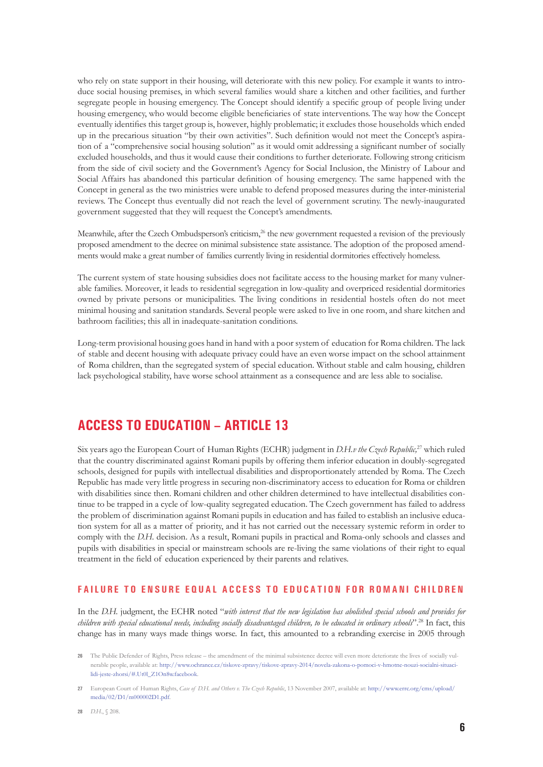who rely on state support in their housing, will deteriorate with this new policy. For example it wants to introduce social housing premises, in which several families would share a kitchen and other facilities, and further segregate people in housing emergency. The Concept should identify a specific group of people living under housing emergency, who would become eligible beneficiaries of state interventions. The way how the Concept eventually identifies this target group is, however, highly problematic; it excludes those households which ended up in the precarious situation "by their own activities". Such definition would not meet the Concept's aspiration of a "comprehensive social housing solution" as it would omit addressing a significant number of socially excluded households, and thus it would cause their conditions to further deteriorate. Following strong criticism from the side of civil society and the Government's Agency for Social Inclusion, the Ministry of Labour and Social Affairs has abandoned this particular definition of housing emergency. The same happened with the Concept in general as the two ministries were unable to defend proposed measures during the inter-ministerial reviews. The Concept thus eventually did not reach the level of government scrutiny. The newly-inaugurated government suggested that they will request the Concept's amendments.

Meanwhile, after the Czech Ombudsperson's criticism,<sup>26</sup> the new government requested a revision of the previously proposed amendment to the decree on minimal subsistence state assistance. The adoption of the proposed amendments would make a great number of families currently living in residential dormitories effectively homeless.

The current system of state housing subsidies does not facilitate access to the housing market for many vulnerable families. Moreover, it leads to residential segregation in low-quality and overpriced residential dormitories owned by private persons or municipalities. The living conditions in residential hostels often do not meet minimal housing and sanitation standards. Several people were asked to live in one room, and share kitchen and bathroom facilities; this all in inadequate-sanitation conditions.

Long-term provisional housing goes hand in hand with a poor system of education for Roma children. The lack of stable and decent housing with adequate privacy could have an even worse impact on the school attainment of Roma children, than the segregated system of special education. Without stable and calm housing, children lack psychological stability, have worse school attainment as a consequence and are less able to socialise.

## **Access to Education – Article 13**

Six years ago the European Court of Human Rights (ECHR) judgment in *D.H.v the Czech Republic,*27 which ruled that the country discriminated against Romani pupils by offering them inferior education in doubly-segregated schools, designed for pupils with intellectual disabilities and disproportionately attended by Roma. The Czech Republic has made very little progress in securing non-discriminatory access to education for Roma or children with disabilities since then. Romani children and other children determined to have intellectual disabilities continue to be trapped in a cycle of low-quality segregated education. The Czech government has failed to address the problem of discrimination against Romani pupils in education and has failed to establish an inclusive education system for all as a matter of priority, and it has not carried out the necessary systemic reform in order to comply with the *D.H.* decision. As a result, Romani pupils in practical and Roma-only schools and classes and pupils with disabilities in special or mainstream schools are re-living the same violations of their right to equal treatment in the field of education experienced by their parents and relatives.

#### **F a i l u r e t o e n s u r e e q u a l a cc e s s t o e d u c a t i o n f o r R o m a n i c h i l d r e n**

In the *D.H.* judgment, the ECHR noted "*with interest that the new legislation has abolished special schools and provides for children with special educational needs, including socially disadvantaged children, to be educated in ordinary schools*".28 In fact, this change has in many ways made things worse. In fact, this amounted to a rebranding exercise in 2005 through

**<sup>26</sup>** The Public Defender of Rights, Press release – the amendment of the minimal subsistence decree will even more deteriorate the lives of socially vulnerable people, available at: http://www.ochrance.cz/tiskove-zpravy/tiskove-zpravy-2014/novela-zakona-o-pomoci-v-hmotne-nouzi-socialni-situacilidi-jeste-zhorsi/#.Ut0l\_Z1On8w.facebook.

**<sup>27</sup>** European Court of Human Rights, *Case of D.H. and Others v. The Czech Republic*, 13 November 2007, available at: http://www.errc.org/cms/upload/ media/02/D1/m000002D1.pdf.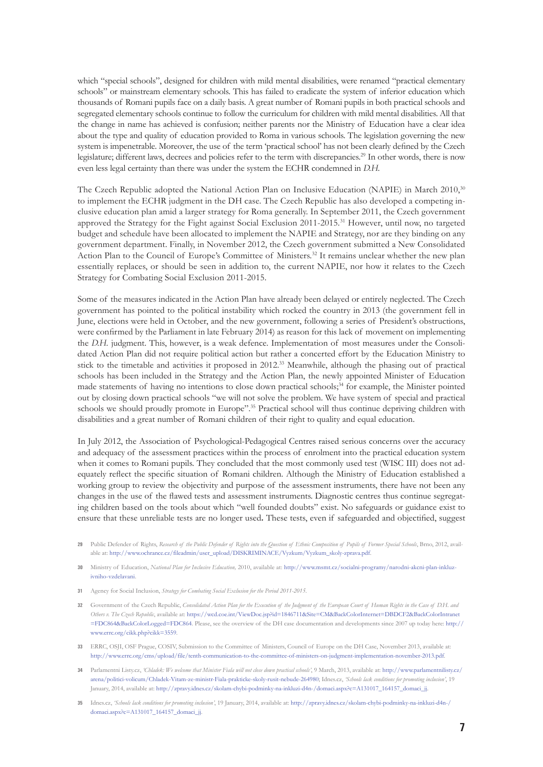which "special schools", designed for children with mild mental disabilities, were renamed "practical elementary schools" or mainstream elementary schools. This has failed to eradicate the system of inferior education which thousands of Romani pupils face on a daily basis. A great number of Romani pupils in both practical schools and segregated elementary schools continue to follow the curriculum for children with mild mental disabilities. All that the change in name has achieved is confusion; neither parents nor the Ministry of Education have a clear idea about the type and quality of education provided to Roma in various schools. The legislation governing the new system is impenetrable. Moreover, the use of the term 'practical school' has not been clearly defined by the Czech legislature; different laws, decrees and policies refer to the term with discrepancies.29 In other words, there is now even less legal certainty than there was under the system the ECHR condemned in *D.H.*

The Czech Republic adopted the National Action Plan on Inclusive Education (NAPIE) in March 2010,<sup>30</sup> to implement the ECHR judgment in the DH case. The Czech Republic has also developed a competing inclusive education plan amid a larger strategy for Roma generally. In September 2011, the Czech government approved the Strategy for the Fight against Social Exclusion 2011-2015*.* <sup>31</sup> However, until now, no targeted budget and schedule have been allocated to implement the NAPIE and Strategy, nor are they binding on any government department. Finally, in November 2012, the Czech government submitted a New Consolidated Action Plan to the Council of Europe's Committee of Ministers.<sup>32</sup> It remains unclear whether the new plan essentially replaces, or should be seen in addition to, the current NAPIE, nor how it relates to the Czech Strategy for Combating Social Exclusion 2011-2015.

Some of the measures indicated in the Action Plan have already been delayed or entirely neglected. The Czech government has pointed to the political instability which rocked the country in 2013 (the government fell in June, elections were held in October, and the new government, following a series of President's obstructions, were confirmed by the Parliament in late February 2014) as reason for this lack of movement on implementing the *D.H.* judgment. This, however, is a weak defence. Implementation of most measures under the Consolidated Action Plan did not require political action but rather a concerted effort by the Education Ministry to stick to the timetable and activities it proposed in 2012.<sup>33</sup> Meanwhile, although the phasing out of practical schools has been included in the Strategy and the Action Plan, the newly appointed Minister of Education made statements of having no intentions to close down practical schools;<sup>34</sup> for example, the Minister pointed out by closing down practical schools "we will not solve the problem. We have system of special and practical schools we should proudly promote in Europe".<sup>35</sup> Practical school will thus continue depriving children with disabilities and a great number of Romani children of their right to quality and equal education.

In July 2012, the Association of Psychological-Pedagogical Centres raised serious concerns over the accuracy and adequacy of the assessment practices within the process of enrolment into the practical education system when it comes to Romani pupils. They concluded that the most commonly used test (WISC III) does not adequately reflect the specific situation of Romani children. Although the Ministry of Education established a working group to review the objectivity and purpose of the assessment instruments, there have not been any changes in the use of the flawed tests and assessment instruments. Diagnostic centres thus continue segregating children based on the tools about which "well founded doubts" exist. No safeguards or guidance exist to ensure that these unreliable tests are no longer used**.** These tests, even if safeguarded and objectified, suggest

- **31** Agency for Social Inclusion, *Strategy for Combating Social Exclusion for the Period 2011-2015*.
- **32** Government of the Czech Republic, *Consolidated Action Plan for the Execution of the Judgment of the European Court of Human Rights in the Case of D.H. and Others v. The Czech Republic*, available at: https://wcd.coe.int/ViewDoc.jsp?id=1846711&Site=CM&BackColorInternet=DBDCF2&BackColorIntranet =FDC864&BackColorLogged=FDC864. Please, see the overview of the DH case documentation and developments since 2007 up today here: http:// www.errc.org/cikk.php?cikk=3559.
- **33** ERRC, OSJI, OSF Prague, COSIV, Submission to the Committee of Ministers, Council of Europe on the DH Case, November 2013, available at: http://www.errc.org/cms/upload/file/tenth-communication-to-the-committee-of-ministers-on-judgment-implementation-november-2013.pdf.
- **34** Parlamentni Listy.cz, *'Chladek: We welcome that Minister Fiala will not close down practical schools'*, 9 March, 2013, available at: http://www.parlamentnilisty.cz/ arena/politici-volicum/Chladek-Vitam-ze-ministr-Fiala-prakticke-skoly-rusit-nebude-264980; Idnes.cz, *'Schools lack conditions for promoting inclusion'*, 19 January, 2014, available at: http://zpravy.idnes.cz/skolam-chybi-podminky-na-inkluzi-d4n-/domaci.aspx?c=A131017\_164157\_domaci\_jj.
- **35** Idnes.cz, *'Schools lack conditions for promoting inclusion'*, 19 January, 2014, available at: http://zpravy.idnes.cz/skolam-chybi-podminky-na-inkluzi-d4n-/ domaci.aspx?c=A131017\_164157\_domaci\_jj.

**<sup>29</sup>** Public Defender of Rights, *Research of the Public Defender of Rights into the Question of Ethnic Composition of Pupils of Former Special Schools*, Brno, 2012, available at: http://www.ochrance.cz/fileadmin/user\_upload/DISKRIMINACE/Vyzkum/Vyzkum\_skoly-zprava.pdf.

**<sup>30</sup>** Ministry of Education, *National Plan for Inclusive Education,* 2010, available at: http://www.msmt.cz/socialni-programy/narodni-akcni-plan-inkluzivniho-vzdelavani.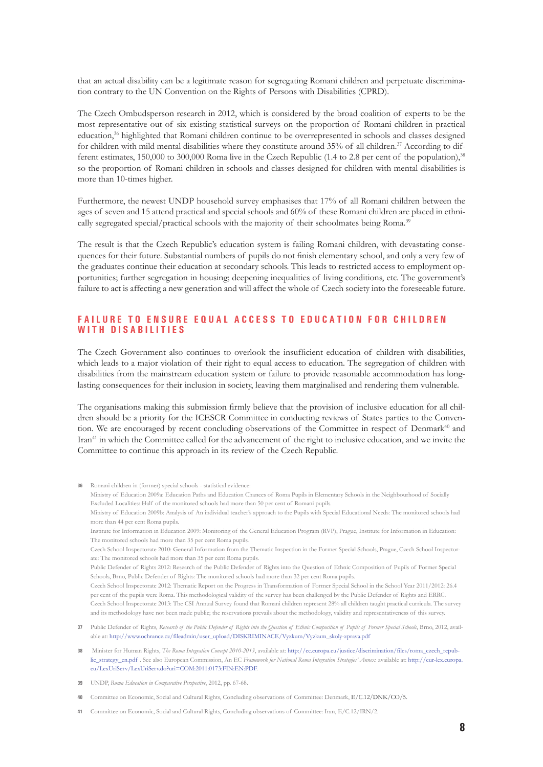that an actual disability can be a legitimate reason for segregating Romani children and perpetuate discrimination contrary to the UN Convention on the Rights of Persons with Disabilities (CPRD).

The Czech Ombudsperson research in 2012, which is considered by the broad coalition of experts to be the most representative out of six existing statistical surveys on the proportion of Romani children in practical education,36 highlighted that Romani children continue to be overrepresented in schools and classes designed for children with mild mental disabilities where they constitute around 35% of all children.<sup>37</sup> According to different estimates, 150,000 to 300,000 Roma live in the Czech Republic (1.4 to 2.8 per cent of the population),<sup>38</sup> so the proportion of Romani children in schools and classes designed for children with mental disabilities is more than 10-times higher.

Furthermore, the newest UNDP household survey emphasises that 17% of all Romani children between the ages of seven and 15 attend practical and special schools and 60% of these Romani children are placed in ethnically segregated special/practical schools with the majority of their schoolmates being Roma.39

The result is that the Czech Republic's education system is failing Romani children, with devastating consequences for their future. Substantial numbers of pupils do not finish elementary school, and only a very few of the graduates continue their education at secondary schools. This leads to restricted access to employment opportunities; further segregation in housing; deepening inequalities of living conditions, etc. The government's failure to act is affecting a new generation and will affect the whole of Czech society into the foreseeable future.

#### **FAILURE TO ENSURE EQUAL ACCESS TO EDUCATION FOR CHILDREN w i t h d i s a b i l i t i e s**

The Czech Government also continues to overlook the insufficient education of children with disabilities, which leads to a major violation of their right to equal access to education. The segregation of children with disabilities from the mainstream education system or failure to provide reasonable accommodation has longlasting consequences for their inclusion in society, leaving them marginalised and rendering them vulnerable.

The organisations making this submission firmly believe that the provision of inclusive education for all children should be a priority for the ICESCR Committee in conducting reviews of States parties to the Convention. We are encouraged by recent concluding observations of the Committee in respect of Denmark<sup>40</sup> and Iran41 in which the Committee called for the advancement of the right to inclusive education, and we invite the Committee to continue this approach in its review of the Czech Republic.

- **37** Public Defender of Rights, *Research of the Public Defender of Rights into the Question of Ethnic Composition of Pupils of Former Special Schools*, Brno, 2012, available at: http://www.ochrance.cz/fileadmin/user\_upload/DISKRIMINACE/Vyzkum/Vyzkum\_skoly-zprava.pdf
- **38** Minister for Human Rights, *The Roma Integration Concept 2010-2013*, available at: http://ec.europa.eu/justice/discrimination/files/roma\_czech\_republic\_strategy\_en.pdf . See also European Commission, An EC *Framework for National Roma Integration Strategies' Annex*: available at: http://eur-lex.europa. eu/LexUriServ/LexUriServ.do?uri=COM:2011:0173:FIN:EN:PDF.
- **39** UNDP, *Roma Education in Comparative Perspective*, 2012, pp. 67-68.

**36** Romani children in (former) special schools - statistical evidence:

- **40** Committee on Economic, Social and Cultural Rights, Concluding observations of Committee: Denmark, E/C.12/DNK/CO/5.
- **41** Committee on Economic, Social and Cultural Rights, Concluding observations of Committee: Iran, E/C.12/IRN/2.

Ministry of Education 2009a: Education Paths and Education Chances of Roma Pupils in Elementary Schools in the Neighbourhood of Socially Excluded Localities: Half of the monitored schools had more than 50 per cent of Romani pupils. Ministry of Education 2009b: Analysis of An individual teacher's approach to the Pupils with Special Educational Needs: The monitored schools had more than 44 per cent Roma pupils. Institute for Information in Education 2009: Monitoring of the General Education Program (RVP), Prague, Institute for Information in Education: The monitored schools had more than 35 per cent Roma pupils. Czech School Inspectorate 2010: General Information from the Thematic Inspection in the Former Special Schools, Prague, Czech School Inspectorate: The monitored schools had more than 35 per cent Roma pupils. Public Defender of Rights 2012: Research of the Public Defender of Rights into the Question of Ethnic Composition of Pupils of Former Special Schools, Brno, Public Defender of Rights: The monitored schools had more than 32 per cent Roma pupils. Czech School Inspectorate 2012: Thematic Report on the Progress in Transformation of Former Special School in the School Year 2011/2012: 26.4 per cent of the pupils were Roma. This methodological validity of the survey has been challenged by the Public Defender of Rights and ERRC. Czech School Inspectorate 2013: The CSI Annual Survey found that Romani children represent 28% all children taught practical curricula. The survey and its methodology have not been made public; the reservations prevails about the methodology, validity and representativeness of this survey.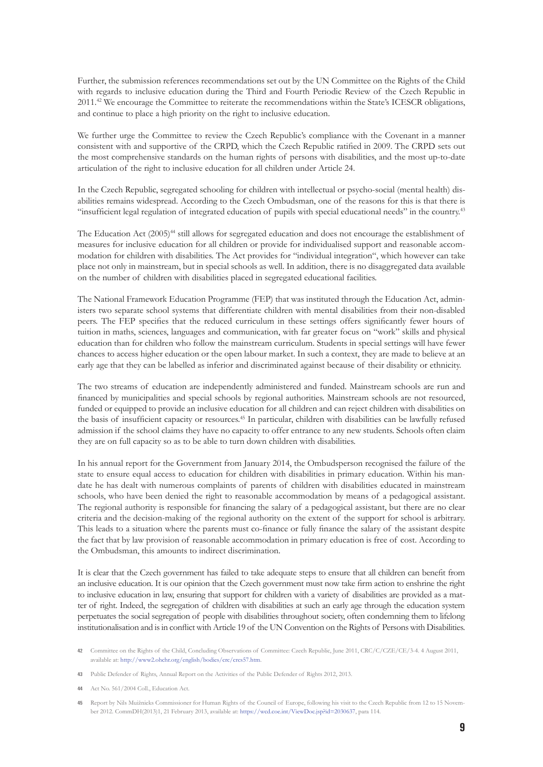Further, the submission references recommendations set out by the UN Committee on the Rights of the Child with regards to inclusive education during the Third and Fourth Periodic Review of the Czech Republic in 2011.<sup>42</sup> We encourage the Committee to reiterate the recommendations within the State's ICESCR obligations, and continue to place a high priority on the right to inclusive education.

We further urge the Committee to review the Czech Republic's compliance with the Covenant in a manner consistent with and supportive of the CRPD, which the Czech Republic ratified in 2009. The CRPD sets out the most comprehensive standards on the human rights of persons with disabilities, and the most up-to-date articulation of the right to inclusive education for all children under Article 24.

In the Czech Republic, segregated schooling for children with intellectual or psycho-social (mental health) disabilities remains widespread. According to the Czech Ombudsman, one of the reasons for this is that there is "insufficient legal regulation of integrated education of pupils with special educational needs" in the country. 43

The Education Act (2005)<sup>44</sup> still allows for segregated education and does not encourage the establishment of measures for inclusive education for all children or provide for individualised support and reasonable accommodation for children with disabilities. The Act provides for "individual integration", which however can take place not only in mainstream, but in special schools as well. In addition, there is no disaggregated data available on the number of children with disabilities placed in segregated educational facilities.

The National Framework Education Programme (FEP) that was instituted through the Education Act, administers two separate school systems that differentiate children with mental disabilities from their non-disabled peers. The FEP specifies that the reduced curriculum in these settings offers significantly fewer hours of tuition in maths, sciences, languages and communication, with far greater focus on "work" skills and physical education than for children who follow the mainstream curriculum. Students in special settings will have fewer chances to access higher education or the open labour market. In such a context, they are made to believe at an early age that they can be labelled as inferior and discriminated against because of their disability or ethnicity.

The two streams of education are independently administered and funded. Mainstream schools are run and financed by municipalities and special schools by regional authorities. Mainstream schools are not resourced, funded or equipped to provide an inclusive education for all children and can reject children with disabilities on the basis of insufficient capacity or resources.<sup>45</sup> In particular, children with disabilities can be lawfully refused admission if the school claims they have no capacity to offer entrance to any new students. Schools often claim they are on full capacity so as to be able to turn down children with disabilities.

In his annual report for the Government from January 2014, the Ombudsperson recognised the failure of the state to ensure equal access to education for children with disabilities in primary education. Within his mandate he has dealt with numerous complaints of parents of children with disabilities educated in mainstream schools, who have been denied the right to reasonable accommodation by means of a pedagogical assistant. The regional authority is responsible for financing the salary of a pedagogical assistant, but there are no clear criteria and the decision-making of the regional authority on the extent of the support for school is arbitrary. This leads to a situation where the parents must co-finance or fully finance the salary of the assistant despite the fact that by law provision of reasonable accommodation in primary education is free of cost. According to the Ombudsman, this amounts to indirect discrimination.

It is clear that the Czech government has failed to take adequate steps to ensure that all children can benefit from an inclusive education. It is our opinion that the Czech government must now take firm action to enshrine the right to inclusive education in law, ensuring that support for children with a variety of disabilities are provided as a matter of right. Indeed, the segregation of children with disabilities at such an early age through the education system perpetuates the social segregation of people with disabilities throughout society, often condemning them to lifelong institutionalisation and is in conflict with Article 19 of the UN Convention on the Rights of Persons with Disabilities.

**<sup>42</sup>** Committee on the Rights of the Child, Concluding Observations of Committee: Czech Republic, June 2011, CRC/C/CZE/CE/3-4. 4 August 2011, available at: http://www2.ohchr.org/english/bodies/crc/crcs57.htm.

**<sup>43</sup>** Public Defender of Rights, Annual Report on the Activities of the Public Defender of Rights 2012, 2013.

**<sup>44</sup>** Act No. 561/2004 Coll., Education Act.

**<sup>45</sup>** Report by Nils Muižnieks Commissioner for Human Rights of the Council of Europe, following his visit to the Czech Republic from 12 to 15 November 2012. CommDH(2013)1, 21 February 2013, available at: https://wcd.coe.int/ViewDoc.jsp?id=2030637, para 114.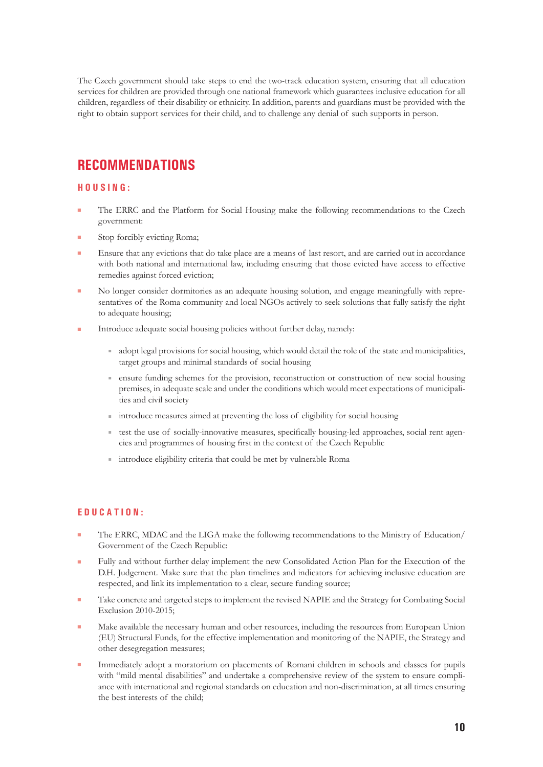The Czech government should take steps to end the two-track education system, ensuring that all education services for children are provided through one national framework which guarantees inclusive education for all children, regardless of their disability or ethnicity. In addition, parents and guardians must be provided with the right to obtain support services for their child, and to challenge any denial of such supports in person.

# **RECOMMENDATIONS**

#### **H o u s i n g :**

- The ERRC and the Platform for Social Housing make the following recommendations to the Czech government:
- Stop forcibly evicting Roma;
- Ensure that any evictions that do take place are a means of last resort, and are carried out in accordance with both national and international law, including ensuring that those evicted have access to effective remedies against forced eviction;
- low No longer consider dormitories as an adequate housing solution, and engage meaningfully with representatives of the Roma community and local NGOs actively to seek solutions that fully satisfy the right to adequate housing;
- Introduce adequate social housing policies without further delay, namely:
	- adopt legal provisions for social housing, which would detail the role of the state and municipalities, target groups and minimal standards of social housing
	- ensure funding schemes for the provision, reconstruction or construction of new social housing premises, in adequate scale and under the conditions which would meet expectations of municipalities and civil society
	- $\blacksquare$  introduce measures aimed at preventing the loss of eligibility for social housing
	- test the use of socially-innovative measures, specifically housing-led approaches, social rent agencies and programmes of housing first in the context of the Czech Republic
	- $\blacksquare$  introduce eligibility criteria that could be met by vulnerable Roma

#### **E d u c a t i o n :**

- The ERRC, MDAC and the LIGA make the following recommendations to the Ministry of Education/ Government of the Czech Republic:
- Fully and without further delay implement the new Consolidated Action Plan for the Execution of the D.H. Judgement. Make sure that the plan timelines and indicators for achieving inclusive education are respected, and link its implementation to a clear, secure funding source;
- Take concrete and targeted steps to implement the revised NAPIE and the Strategy for Combating Social Exclusion 2010-2015;
- Make available the necessary human and other resources, including the resources from European Union (EU) Structural Funds, for the effective implementation and monitoring of the NAPIE, the Strategy and other desegregation measures;
- Immediately adopt a moratorium on placements of Romani children in schools and classes for pupils with "mild mental disabilities" and undertake a comprehensive review of the system to ensure compliance with international and regional standards on education and non-discrimination, at all times ensuring the best interests of the child;